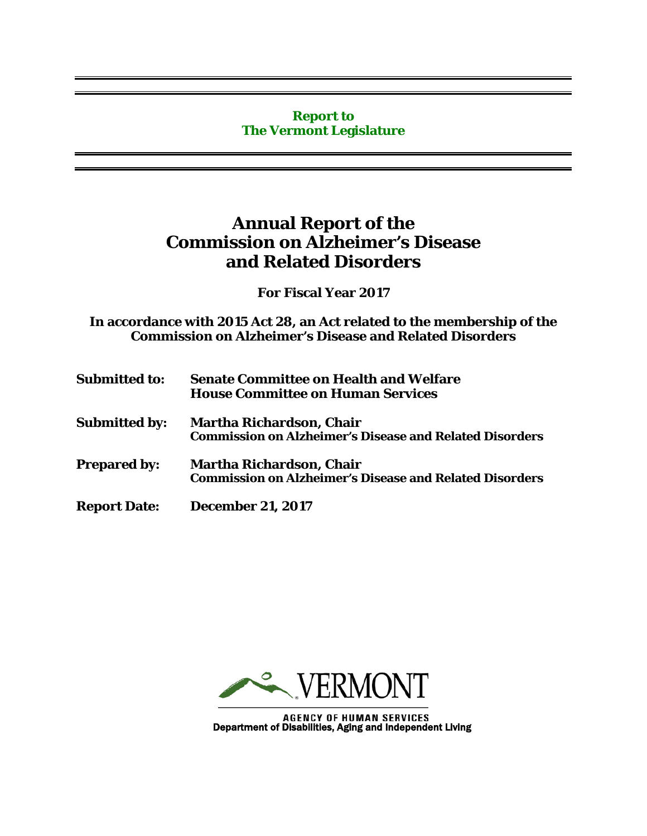#### **Report to The Vermont Legislature**

### **Annual Report of the Commission on Alzheimer's Disease and Related Disorders**

**For Fiscal Year 2017**

**In accordance with 2015 Act 28, an Act related to the membership of the Commission on Alzheimer's Disease and Related Disorders**

| <b>Submitted to:</b> | <b>Senate Committee on Health and Welfare</b><br><b>House Committee on Human Services</b>         |  |
|----------------------|---------------------------------------------------------------------------------------------------|--|
| <b>Submitted by:</b> | <b>Martha Richardson, Chair</b><br><b>Commission on Alzheimer's Disease and Related Disorders</b> |  |
| <b>Prepared by:</b>  | <b>Martha Richardson, Chair</b><br><b>Commission on Alzheimer's Disease and Related Disorders</b> |  |
| <b>Report Date:</b>  | <b>December 21, 2017</b>                                                                          |  |



AGENCY OF HUMAN SERVICES<br>Department of Disabilities, Aging and Independent Living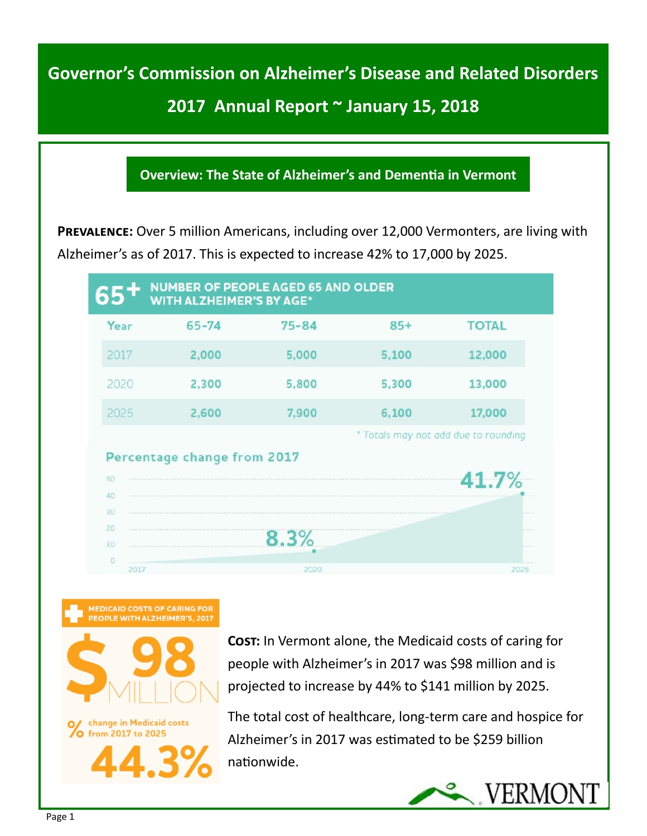## **2017 Annual Report ~ January 15, 2018**

#### **Overview: The State of Alzheimer's and Dementia in Vermont**

**PREVALENCE:** Over 5 million Americans, including over 12,000 Vermonters, are living with Alzheimer's as of 2017. This is expected to increase 42% to 17,000 by 2025.

| 65'                         | <b>WITH ALZHEIMER'S BY AGE*</b> | <b>NUMBER OF PEOPLE AGED 65 AND OLDER</b> |                                      |              |  |  |
|-----------------------------|---------------------------------|-------------------------------------------|--------------------------------------|--------------|--|--|
| Year                        | 65-74                           | $75 - 84$                                 | $85+$                                | <b>TOTAL</b> |  |  |
| 2017                        | 2,000                           | 5,000                                     | 5,100                                | 12,000       |  |  |
| 2020                        | 2,300                           | 5,800                                     | 5,300                                | 13,000       |  |  |
| 2025                        | 2,600                           | 7,900                                     | 6,100                                | 17,000       |  |  |
|                             |                                 |                                           | * Totals may not add due to rounding |              |  |  |
| Percentage change from 2017 |                                 |                                           |                                      |              |  |  |
| 50                          |                                 |                                           |                                      | 41.7%        |  |  |
| 40                          |                                 |                                           |                                      |              |  |  |
| 30                          |                                 |                                           |                                      |              |  |  |
| 20                          |                                 |                                           |                                      |              |  |  |
| 10                          |                                 | 8.3%                                      |                                      | $1.11 - 1.1$ |  |  |
| $\circ$                     |                                 |                                           |                                      |              |  |  |





change in Medicaid costs O from 2017 to 2025

**Cost:** In Vermont alone, the Medicaid costs of caring for people with Alzheimer's in 2017 was \$98 million and is projected to increase by 44% to \$141 million by 2025.

The total cost of healthcare, long-term care and hospice for Alzheimer's in 2017 was estimated to be \$259 billion nationwide.

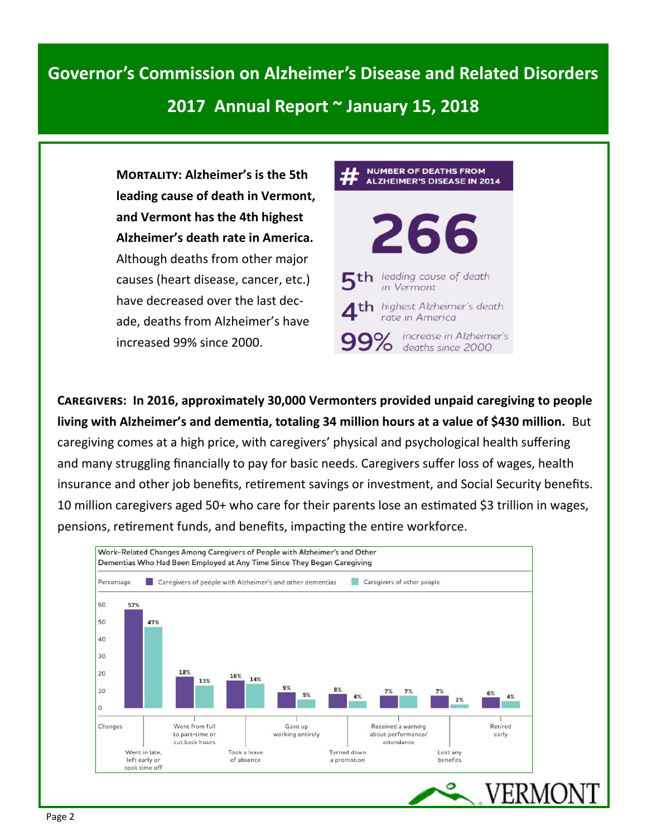### **2017 Annual Report ~ January 15, 2018**

**Mortality: Alzheimer's is the 5th leading cause of death in Vermont, and Vermont has the 4th highest Alzheimer's death rate in America.**  Although deaths from other major causes (heart disease, cancer, etc.) have decreased over the last decade, deaths from Alzheimer's have increased 99% since 2000.



**Caregivers: In 2016, approximately 30,000 Vermonters provided unpaid caregiving to people living with Alzheimer's and dementia, totaling 34 million hours at a value of \$430 million.** But caregiving comes at a high price, with caregivers' physical and psychological health suffering and many struggling financially to pay for basic needs. Caregivers suffer loss of wages, health insurance and other job benefits, retirement savings or investment, and Social Security benefits. 10 million caregivers aged 50+ who care for their parents lose an estimated \$3 trillion in wages, pensions, retirement funds, and benefits, impacting the entire workforce.

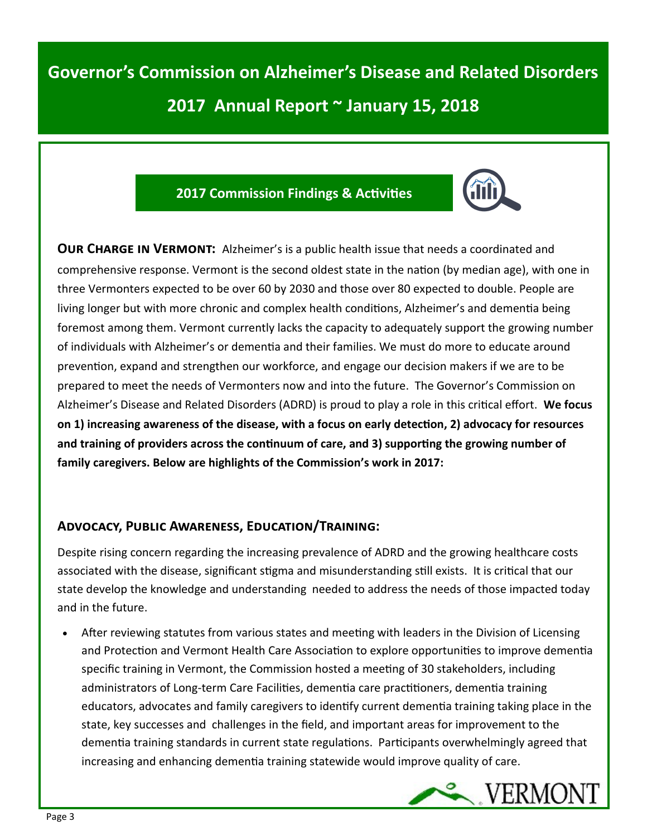#### **2017 Commission Findings & Activities**



**OUR CHARGE IN VERMONT:** Alzheimer's is a public health issue that needs a coordinated and comprehensive response. Vermont is the second oldest state in the nation (by median age), with one in three Vermonters expected to be over 60 by 2030 and those over 80 expected to double. People are living longer but with more chronic and complex health conditions, Alzheimer's and dementia being foremost among them. Vermont currently lacks the capacity to adequately support the growing number of individuals with Alzheimer's or dementia and their families. We must do more to educate around prevention, expand and strengthen our workforce, and engage our decision makers if we are to be prepared to meet the needs of Vermonters now and into the future. The Governor's Commission on Alzheimer's Disease and Related Disorders (ADRD) is proud to play a role in this critical effort. **We focus on 1) increasing awareness of the disease, with a focus on early detection, 2) advocacy for resources and training of providers across the continuum of care, and 3) supporting the growing number of family caregivers. Below are highlights of the Commission's work in 2017:**

#### **Advocacy, Public Awareness, Education/Training:**

Despite rising concern regarding the increasing prevalence of ADRD and the growing healthcare costs associated with the disease, significant stigma and misunderstanding still exists. It is critical that our state develop the knowledge and understanding needed to address the needs of those impacted today and in the future.

• After reviewing statutes from various states and meeting with leaders in the Division of Licensing and Protection and Vermont Health Care Association to explore opportunities to improve dementia specific training in Vermont, the Commission hosted a meeting of 30 stakeholders, including administrators of Long-term Care Facilities, dementia care practitioners, dementia training educators, advocates and family caregivers to identify current dementia training taking place in the state, key successes and challenges in the field, and important areas for improvement to the dementia training standards in current state regulations. Participants overwhelmingly agreed that increasing and enhancing dementia training statewide would improve quality of care.

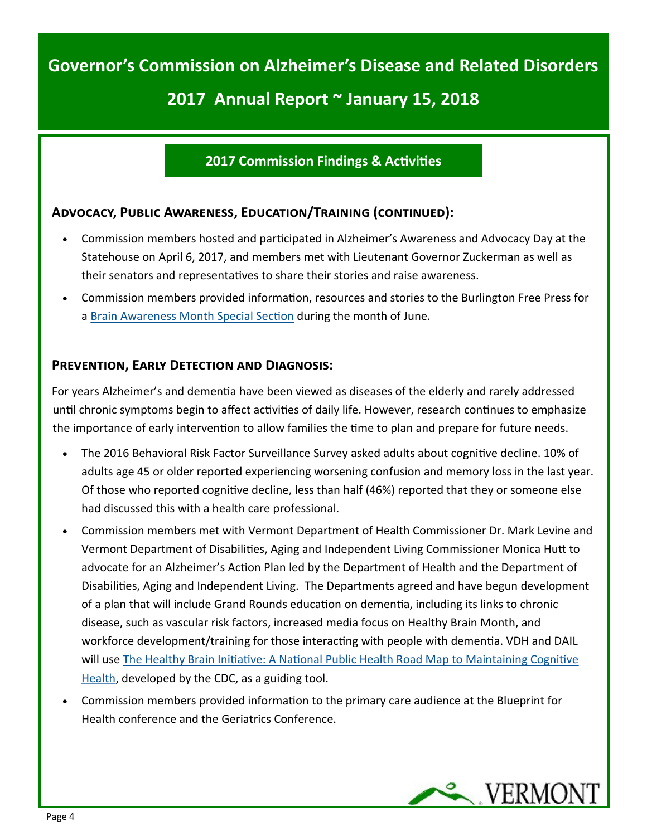#### **2017 Commission Findings & Activities**

#### **Advocacy, Public Awareness, Education/Training (continued):**

- Commission members hosted and participated in Alzheimer's Awareness and Advocacy Day at the Statehouse on April 6, 2017, and members met with Lieutenant Governor Zuckerman as well as their senators and representatives to share their stories and raise awareness.
- Commission members provided information, resources and stories to the Burlington Free Press for a [Brain Awareness Month Special Section](https://www.ifoldsflip.com/i/832872-brain-awareness-month-2017) during the month of June.

#### **Prevention, Early Detection and Diagnosis:**

For years Alzheimer's and dementia have been viewed as diseases of the elderly and rarely addressed until chronic symptoms begin to affect activities of daily life. However, research continues to emphasize the importance of early intervention to allow families the time to plan and prepare for future needs.

- The 2016 Behavioral Risk Factor Surveillance Survey asked adults about cognitive decline. 10% of adults age 45 or older reported experiencing worsening confusion and memory loss in the last year. Of those who reported cognitive decline, less than half (46%) reported that they or someone else had discussed this with a health care professional.
- Commission members met with Vermont Department of Health Commissioner Dr. Mark Levine and Vermont Department of Disabilities, Aging and Independent Living Commissioner Monica Hutt to advocate for an Alzheimer's Action Plan led by the Department of Health and the Department of Disabilities, Aging and Independent Living. The Departments agreed and have begun development of a plan that will include Grand Rounds education on dementia, including its links to chronic disease, such as vascular risk factors, increased media focus on Healthy Brain Month, and workforce development/training for those interacting with people with dementia. VDH and DAIL will use [The Healthy Brain Initiative: A National Public Health Road Map to Maintaining Cognitive](https://www.cdc.gov/aging/healthybrain/roadmap.htm)  [Health,](https://www.cdc.gov/aging/healthybrain/roadmap.htm) developed by the CDC, as a guiding tool.
- Commission members provided information to the primary care audience at the Blueprint for Health conference and the Geriatrics Conference.

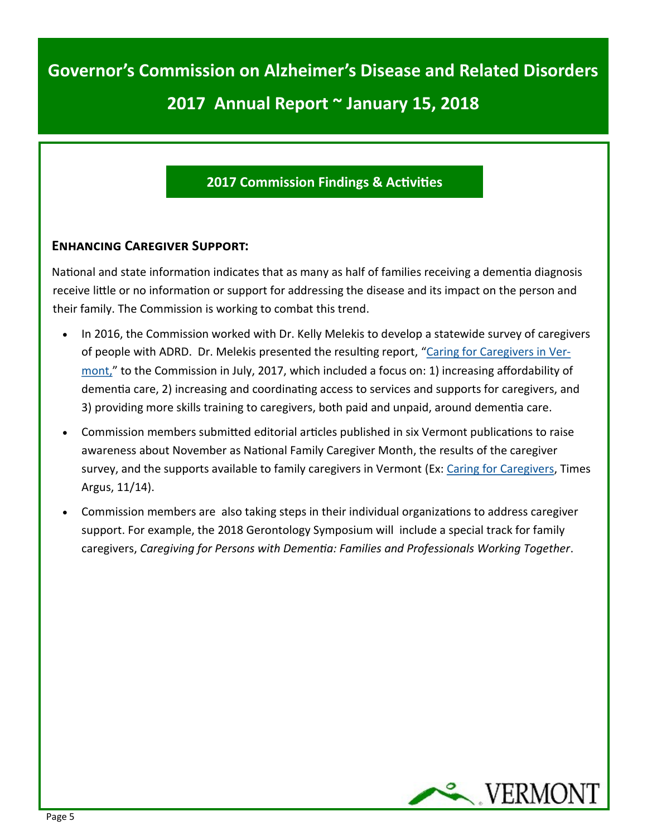#### **2017 Commission Findings & Activities**

#### **Enhancing Caregiver Support:**

National and state information indicates that as many as half of families receiving a dementia diagnosis receive little or no information or support for addressing the disease and its impact on the person and their family. The Commission is working to combat this trend.

- In 2016, the Commission worked with Dr. Kelly Melekis to develop a statewide survey of caregivers of people with ADRD. Dr. Melekis presented the resulting report, "[Caring for Caregivers in Ver](http://asd.vermont.gov/sites/asd/files/documents/2017%20Caregiver%20Survey%20Report%20-%20Kelly%20Melekis.pdf)[mont,"](http://asd.vermont.gov/sites/asd/files/documents/2017%20Caregiver%20Survey%20Report%20-%20Kelly%20Melekis.pdf) to the Commission in July, 2017, which included a focus on: 1) increasing affordability of dementia care, 2) increasing and coordinating access to services and supports for caregivers, and 3) providing more skills training to caregivers, both paid and unpaid, around dementia care.
- Commission members submitted editorial articles published in six Vermont publications to raise awareness about November as National Family Caregiver Month, the results of the caregiver survey, and the supports available to family caregivers in Vermont (Ex: [Caring for Caregivers,](https://www.timesargus.com/articles/caring-for-caregivers/) Times Argus, 11/14).
- Commission members are also taking steps in their individual organizations to address caregiver support. For example, the 2018 Gerontology Symposium will include a special track for family caregivers, *Caregiving for Persons with Dementia: Families and Professionals Working Together*.

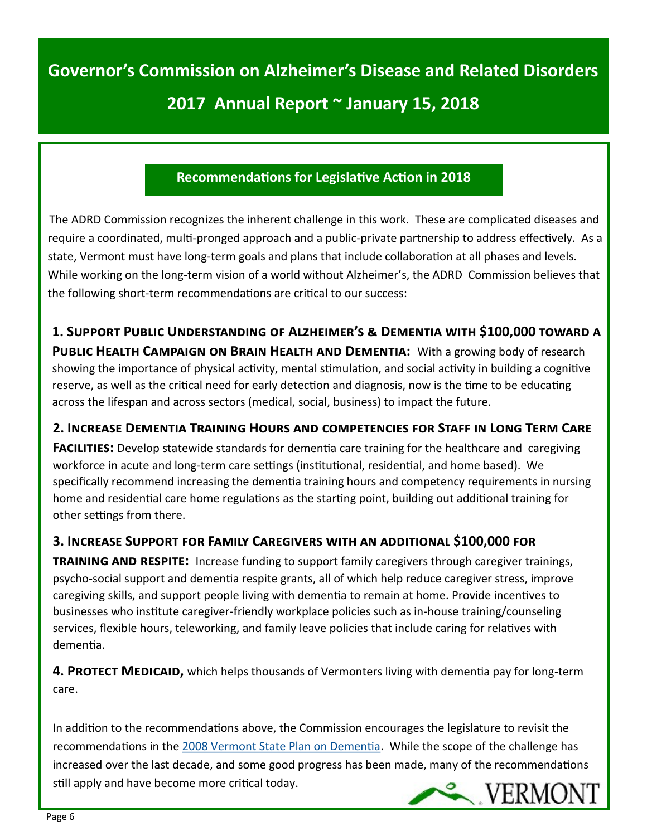#### **Recommendations for Legislative Action in 2018**

 The ADRD Commission recognizes the inherent challenge in this work. These are complicated diseases and require a coordinated, multi-pronged approach and a public-private partnership to address effectively. As a state, Vermont must have long-term goals and plans that include collaboration at all phases and levels. While working on the long-term vision of a world without Alzheimer's, the ADRD Commission believes that the following short-term recommendations are critical to our success:

**1. Support Public Understanding of Alzheimer's & Dementia with \$100,000 toward a PUBLIC HEALTH CAMPAIGN ON BRAIN HEALTH AND DEMENTIA:** With a growing body of research showing the importance of physical activity, mental stimulation, and social activity in building a cognitive reserve, as well as the critical need for early detection and diagnosis, now is the time to be educating across the lifespan and across sectors (medical, social, business) to impact the future.

#### **2. Increase Dementia Training Hours and competencies for Staff in Long Term Care**

**FACILITIES:** Develop statewide standards for dementia care training for the healthcare and caregiving workforce in acute and long-term care settings (institutional, residential, and home based). We specifically recommend increasing the dementia training hours and competency requirements in nursing home and residential care home regulations as the starting point, building out additional training for other settings from there.

#### **3. Increase Support for Family Caregivers with an additional \$100,000 for**

**training and respite:** Increase funding to support family caregivers through caregiver trainings, psycho-social support and dementia respite grants, all of which help reduce caregiver stress, improve caregiving skills, and support people living with dementia to remain at home. Provide incentives to businesses who institute caregiver-friendly workplace policies such as in-house training/counseling services, flexible hours, teleworking, and family leave policies that include caring for relatives with dementia.

**4. PROTECT MEDICAID,** which helps thousands of Vermonters living with dementia pay for long-term care.

In addition to the recommendations above, the Commission encourages the legislature to revisit the recommendations in the [2008 Vermont State Plan on Dementia.](https://www.alz.org/national/documents/Vermont_State_Plan.pdf) While the scope of the challenge has increased over the last decade, and some good progress has been made, many of the recommendations still apply and have become more critical today. VERMONT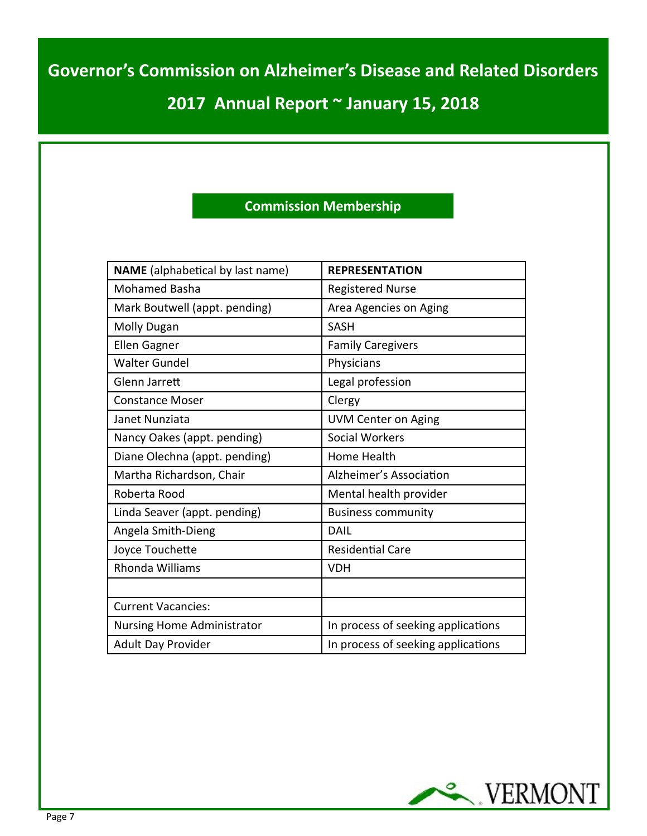## **2017 Annual Report ~ January 15, 2018**

#### **Commission Membership**

| <b>NAME</b> (alphabetical by last name) | <b>REPRESENTATION</b>              |  |  |
|-----------------------------------------|------------------------------------|--|--|
| <b>Mohamed Basha</b>                    | <b>Registered Nurse</b>            |  |  |
| Mark Boutwell (appt. pending)           | Area Agencies on Aging             |  |  |
| <b>Molly Dugan</b>                      | <b>SASH</b>                        |  |  |
| <b>Ellen Gagner</b>                     | <b>Family Caregivers</b>           |  |  |
| <b>Walter Gundel</b>                    | Physicians                         |  |  |
| Glenn Jarrett                           | Legal profession                   |  |  |
| <b>Constance Moser</b>                  | Clergy                             |  |  |
| Janet Nunziata                          | <b>UVM Center on Aging</b>         |  |  |
| Nancy Oakes (appt. pending)             | <b>Social Workers</b>              |  |  |
| Diane Olechna (appt. pending)           | Home Health                        |  |  |
| Martha Richardson, Chair                | Alzheimer's Association            |  |  |
| Roberta Rood                            | Mental health provider             |  |  |
| Linda Seaver (appt. pending)            | <b>Business community</b>          |  |  |
| Angela Smith-Dieng                      | <b>DAIL</b>                        |  |  |
| Joyce Touchette                         | <b>Residential Care</b>            |  |  |
| <b>Rhonda Williams</b>                  | <b>VDH</b>                         |  |  |
|                                         |                                    |  |  |
| <b>Current Vacancies:</b>               |                                    |  |  |
| <b>Nursing Home Administrator</b>       | In process of seeking applications |  |  |
| Adult Day Provider                      | In process of seeking applications |  |  |